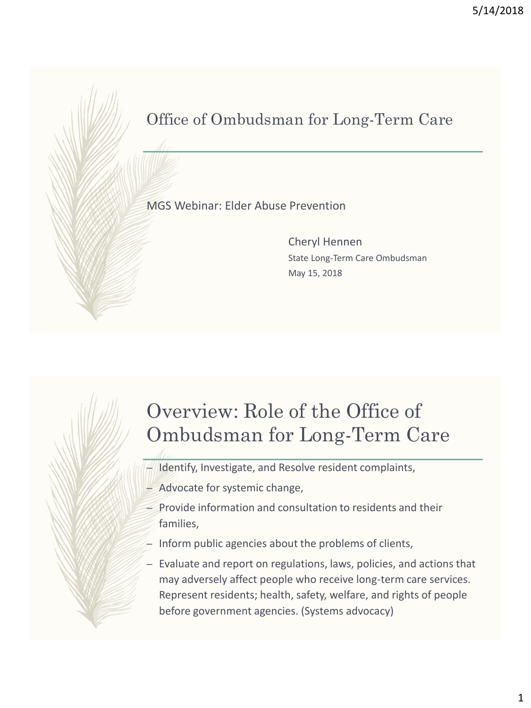### Office of Ombudsman for Long-Term Care

#### MGS Webinar: Elder Abuse Prevention

Cheryl Hennen State Long-Term Care Ombudsman May 15, 2018

## Overview: Role of the Office of Ombudsman for Long-Term Care

- Identify, Investigate, and Resolve resident complaints,
- Advocate for systemic change,
- $=$  Provide information and consultation to residents and their families,
- $-$  Inform public agencies about the problems of clients,
- Evaluate and report on regulations, laws, policies, and actions that may adversely affect people who receive long-term care services. Represent residents; health, safety, welfare, and rights of people before government agencies. (Systems advocacy)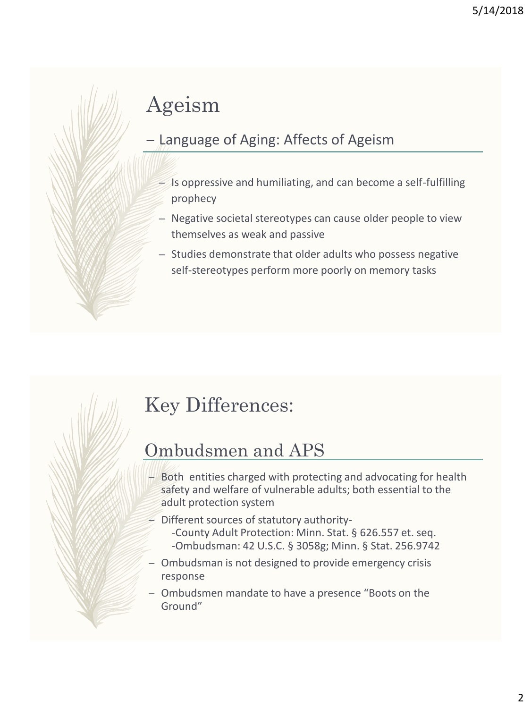# Ageism

#### – Language of Aging: Affects of Ageism

- $-$  Is oppressive and humiliating, and can become a self-fulfilling prophecy
- Negative societal stereotypes can cause older people to view themselves as weak and passive
- Studies demonstrate that older adults who possess negative self-stereotypes perform more poorly on memory tasks

## Key Differences:

### Ombudsmen and APS

- Both entities charged with protecting and advocating for health safety and welfare of vulnerable adults; both essential to the adult protection system
- $=$  Different sources of statutory authority--County Adult Protection: Minn. Stat. § 626.557 et. seq. -Ombudsman: 42 U.S.C. § 3058g; Minn. § Stat. 256.9742
- Ombudsman is not designed to provide emergency crisis response
- Ombudsmen mandate to have a presence "Boots on the Ground"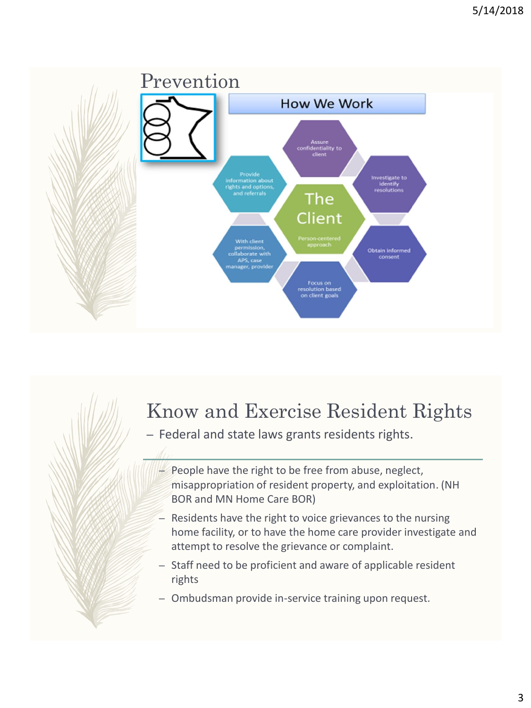

# Know and Exercise Resident Rights

- Federal and state laws grants residents rights.
	- People have the right to be free from abuse, neglect, misappropriation of resident property, and exploitation. (NH BOR and MN Home Care BOR)
	- Residents have the right to voice grievances to the nursing home facility, or to have the home care provider investigate and attempt to resolve the grievance or complaint.
	- Staff need to be proficient and aware of applicable resident rights
	- Ombudsman provide in-service training upon request.